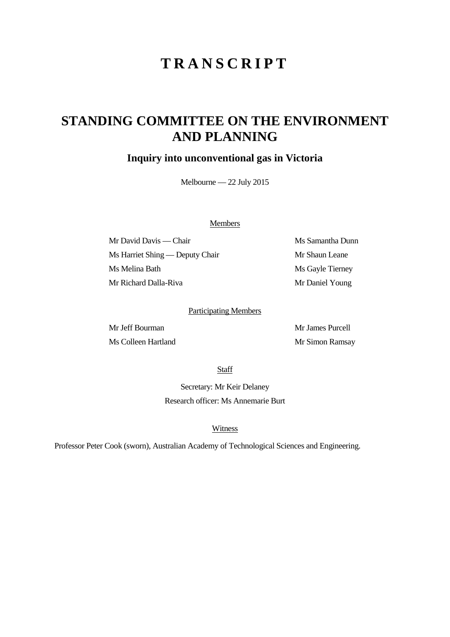# **TRANSCRIPT**

## **STANDING COMMITTEE ON THE ENVIRONMENT AND PLANNING**

### **Inquiry into unconventional gas in Victoria**

Melbourne — 22 July 2015

#### Members

Mr David Davis — Chair Ms Samantha Dunn Ms Harriet Shing — Deputy Chair Mr Shaun Leane Ms Melina Bath Ms Gayle Tierney Mr Richard Dalla-Riva Mr Daniel Young

#### Participating Members

Mr Jeff Bourman Mr James Purcell Ms Colleen Hartland Mr Simon Ramsay

**Staff** 

Secretary: Mr Keir Delaney Research officer: Ms Annemarie Burt

#### Witness

Professor Peter Cook (sworn), Australian Academy of Technological Sciences and Engineering.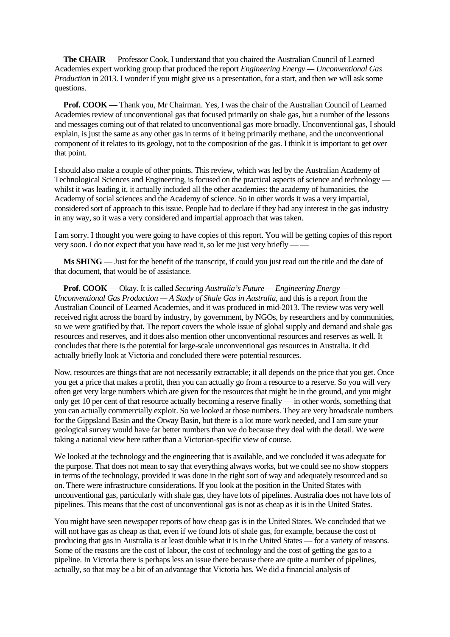**The CHAIR** — Professor Cook, I understand that you chaired the Australian Council of Learned Academies expert working group that produced the report *Engineering Energy — Unconventional Gas Production* in 2013. I wonder if you might give us a presentation, for a start, and then we will ask some questions.

**Prof. COOK** — Thank you, Mr Chairman. Yes, I was the chair of the Australian Council of Learned Academies review of unconventional gas that focused primarily on shale gas, but a number of the lessons and messages coming out of that related to unconventional gas more broadly. Unconventional gas, I should explain, is just the same as any other gas in terms of it being primarily methane, and the unconventional component of it relates to its geology, not to the composition of the gas. I think it is important to get over that point.

I should also make a couple of other points. This review, which was led by the Australian Academy of Technological Sciences and Engineering, is focused on the practical aspects of science and technology whilst it was leading it, it actually included all the other academies: the academy of humanities, the Academy of social sciences and the Academy of science. So in other words it was a very impartial, considered sort of approach to this issue. People had to declare if they had any interest in the gas industry in any way, so it was a very considered and impartial approach that was taken.

I am sorry. I thought you were going to have copies of this report. You will be getting copies of this report very soon. I do not expect that you have read it, so let me just very briefly –

**Ms SHING** — Just for the benefit of the transcript, if could you just read out the title and the date of that document, that would be of assistance.

**Prof. COOK** — Okay. It is called *Securing Australia's Future — Engineering Energy — Unconventional Gas Production — A Study of Shale Gas in Australia*, and this is a report from the Australian Council of Learned Academies, and it was produced in mid-2013. The review was very well received right across the board by industry, by government, by NGOs, by researchers and by communities, so we were gratified by that. The report covers the whole issue of global supply and demand and shale gas resources and reserves, and it does also mention other unconventional resources and reserves as well. It concludes that there is the potential for large-scale unconventional gas resources in Australia. It did actually briefly look at Victoria and concluded there were potential resources.

Now, resources are things that are not necessarily extractable; it all depends on the price that you get. Once you get a price that makes a profit, then you can actually go from a resource to a reserve. So you will very often get very large numbers which are given for the resources that might be in the ground, and you might only get 10 per cent of that resource actually becoming a reserve finally — in other words, something that you can actually commercially exploit. So we looked at those numbers. They are very broadscale numbers for the Gippsland Basin and the Otway Basin, but there is a lot more work needed, and I am sure your geological survey would have far better numbers than we do because they deal with the detail. We were taking a national view here rather than a Victorian-specific view of course.

We looked at the technology and the engineering that is available, and we concluded it was adequate for the purpose. That does not mean to say that everything always works, but we could see no show stoppers in terms of the technology, provided it was done in the right sort of way and adequately resourced and so on. There were infrastructure considerations. If you look at the position in the United States with unconventional gas, particularly with shale gas, they have lots of pipelines. Australia does not have lots of pipelines. This means that the cost of unconventional gas is not as cheap as it is in the United States.

You might have seen newspaper reports of how cheap gas is in the United States. We concluded that we will not have gas as cheap as that, even if we found lots of shale gas, for example, because the cost of producing that gas in Australia is at least double what it is in the United States — for a variety of reasons. Some of the reasons are the cost of labour, the cost of technology and the cost of getting the gas to a pipeline. In Victoria there is perhaps less an issue there because there are quite a number of pipelines, actually, so that may be a bit of an advantage that Victoria has. We did a financial analysis of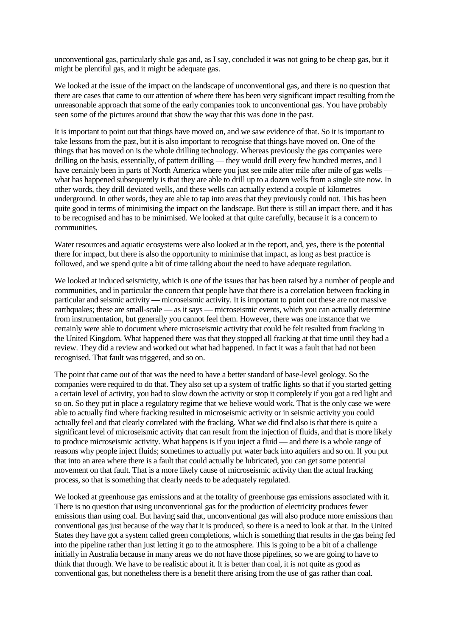unconventional gas, particularly shale gas and, as I say, concluded it was not going to be cheap gas, but it might be plentiful gas, and it might be adequate gas.

We looked at the issue of the impact on the landscape of unconventional gas, and there is no question that there are cases that came to our attention of where there has been very significant impact resulting from the unreasonable approach that some of the early companies took to unconventional gas. You have probably seen some of the pictures around that show the way that this was done in the past.

It is important to point out that things have moved on, and we saw evidence of that. So it is important to take lessons from the past, but it is also important to recognise that things have moved on. One of the things that has moved on is the whole drilling technology. Whereas previously the gas companies were drilling on the basis, essentially, of pattern drilling — they would drill every few hundred metres, and I have certainly been in parts of North America where you just see mile after mile after mile of gas wells what has happened subsequently is that they are able to drill up to a dozen wells from a single site now. In other words, they drill deviated wells, and these wells can actually extend a couple of kilometres underground. In other words, they are able to tap into areas that they previously could not. This has been quite good in terms of minimising the impact on the landscape. But there is still an impact there, and it has to be recognised and has to be minimised. We looked at that quite carefully, because it is a concern to communities.

Water resources and aquatic ecosystems were also looked at in the report, and, yes, there is the potential there for impact, but there is also the opportunity to minimise that impact, as long as best practice is followed, and we spend quite a bit of time talking about the need to have adequate regulation.

We looked at induced seismicity, which is one of the issues that has been raised by a number of people and communities, and in particular the concern that people have that there is a correlation between fracking in particular and seismic activity — microseismic activity. It is important to point out these are not massive earthquakes; these are small-scale — as it says — microseismic events, which you can actually determine from instrumentation, but generally you cannot feel them. However, there was one instance that we certainly were able to document where microseismic activity that could be felt resulted from fracking in the United Kingdom. What happened there was that they stopped all fracking at that time until they had a review. They did a review and worked out what had happened. In fact it was a fault that had not been recognised. That fault was triggered, and so on.

The point that came out of that was the need to have a better standard of base-level geology. So the companies were required to do that. They also set up a system of traffic lights so that if you started getting a certain level of activity, you had to slow down the activity or stop it completely if you got a red light and so on. So they put in place a regulatory regime that we believe would work. That is the only case we were able to actually find where fracking resulted in microseismic activity or in seismic activity you could actually feel and that clearly correlated with the fracking. What we did find also is that there is quite a significant level of microseismic activity that can result from the injection of fluids, and that is more likely to produce microseismic activity. What happens is if you inject a fluid — and there is a whole range of reasons why people inject fluids; sometimes to actually put water back into aquifers and so on. If you put that into an area where there is a fault that could actually be lubricated, you can get some potential movement on that fault. That is a more likely cause of microseismic activity than the actual fracking process, so that is something that clearly needs to be adequately regulated.

We looked at greenhouse gas emissions and at the totality of greenhouse gas emissions associated with it. There is no question that using unconventional gas for the production of electricity produces fewer emissions than using coal. But having said that, unconventional gas will also produce more emissions than conventional gas just because of the way that it is produced, so there is a need to look at that. In the United States they have got a system called green completions, which is something that results in the gas being fed into the pipeline rather than just letting it go to the atmosphere. This is going to be a bit of a challenge initially in Australia because in many areas we do not have those pipelines, so we are going to have to think that through. We have to be realistic about it. It is better than coal, it is not quite as good as conventional gas, but nonetheless there is a benefit there arising from the use of gas rather than coal.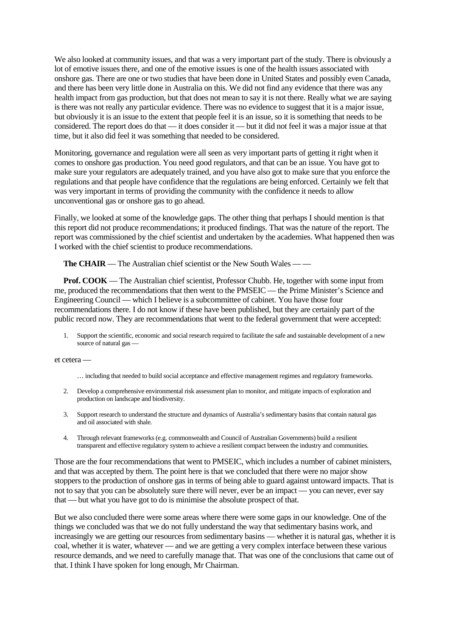We also looked at community issues, and that was a very important part of the study. There is obviously a lot of emotive issues there, and one of the emotive issues is one of the health issues associated with onshore gas. There are one or two studies that have been done in United States and possibly even Canada, and there has been very little done in Australia on this. We did not find any evidence that there was any health impact from gas production, but that does not mean to say it is not there. Really what we are saying is there was not really any particular evidence. There was no evidence to suggest that it is a major issue, but obviously it is an issue to the extent that people feel it is an issue, so it is something that needs to be considered. The report does do that — it does consider it — but it did not feel it was a major issue at that time, but it also did feel it was something that needed to be considered.

Monitoring, governance and regulation were all seen as very important parts of getting it right when it comes to onshore gas production. You need good regulators, and that can be an issue. You have got to make sure your regulators are adequately trained, and you have also got to make sure that you enforce the regulations and that people have confidence that the regulations are being enforced. Certainly we felt that was very important in terms of providing the community with the confidence it needs to allow unconventional gas or onshore gas to go ahead.

Finally, we looked at some of the knowledge gaps. The other thing that perhaps I should mention is that this report did not produce recommendations; it produced findings. That was the nature of the report. The report was commissioned by the chief scientist and undertaken by the academies. What happened then was I worked with the chief scientist to produce recommendations.

**The CHAIR** — The Australian chief scientist or the New South Wales — —

**Prof. COOK** — The Australian chief scientist, Professor Chubb. He, together with some input from me, produced the recommendations that then went to the PMSEIC — the Prime Minister's Science and Engineering Council — which I believe is a subcommittee of cabinet. You have those four recommendations there. I do not know if these have been published, but they are certainly part of the public record now. They are recommendations that went to the federal government that were accepted:

Support the scientific, economic and social research required to facilitate the safe and sustainable development of a new source of natural gas —

et cetera —

- … including that needed to build social acceptance and effective management regimes and regulatory frameworks.
- 2. Develop a comprehensive environmental risk assessment plan to monitor, and mitigate impacts of exploration and production on landscape and biodiversity.
- 3. Support research to understand the structure and dynamics of Australia's sedimentary basins that contain natural gas and oil associated with shale.
- 4. Through relevant frameworks (e.g. commonwealth and Council of Australian Governments) build a resilient transparent and effective regulatory system to achieve a resilient compact between the industry and communities.

Those are the four recommendations that went to PMSEIC, which includes a number of cabinet ministers, and that was accepted by them. The point here is that we concluded that there were no major show stoppers to the production of onshore gas in terms of being able to guard against untoward impacts. That is not to say that you can be absolutely sure there will never, ever be an impact — you can never, ever say that — but what you have got to do is minimise the absolute prospect of that.

But we also concluded there were some areas where there were some gaps in our knowledge. One of the things we concluded was that we do not fully understand the way that sedimentary basins work, and increasingly we are getting our resources from sedimentary basins — whether it is natural gas, whether it is coal, whether it is water, whatever — and we are getting a very complex interface between these various resource demands, and we need to carefully manage that. That was one of the conclusions that came out of that. I think I have spoken for long enough, Mr Chairman.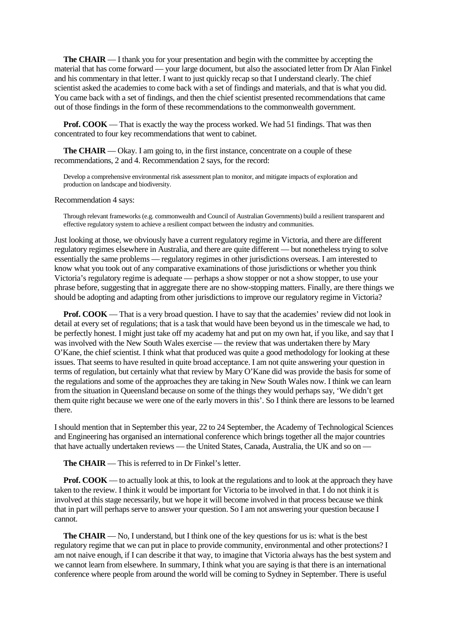**The CHAIR** — I thank you for your presentation and begin with the committee by accepting the material that has come forward — your large document, but also the associated letter from Dr Alan Finkel and his commentary in that letter. I want to just quickly recap so that I understand clearly. The chief scientist asked the academies to come back with a set of findings and materials, and that is what you did. You came back with a set of findings, and then the chief scientist presented recommendations that came out of those findings in the form of these recommendations to the commonwealth government.

**Prof. COOK** — That is exactly the way the process worked. We had 51 findings. That was then concentrated to four key recommendations that went to cabinet.

**The CHAIR** — Okay. I am going to, in the first instance, concentrate on a couple of these recommendations, 2 and 4. Recommendation 2 says, for the record:

Develop a comprehensive environmental risk assessment plan to monitor, and mitigate impacts of exploration and production on landscape and biodiversity.

Recommendation 4 says:

Through relevant frameworks (e.g. commonwealth and Council of Australian Governments) build a resilient transparent and effective regulatory system to achieve a resilient compact between the industry and communities.

Just looking at those, we obviously have a current regulatory regime in Victoria, and there are different regulatory regimes elsewhere in Australia, and there are quite different — but nonetheless trying to solve essentially the same problems — regulatory regimes in other jurisdictions overseas. I am interested to know what you took out of any comparative examinations of those jurisdictions or whether you think Victoria's regulatory regime is adequate — perhaps a show stopper or not a show stopper, to use your phrase before, suggesting that in aggregate there are no show-stopping matters. Finally, are there things we should be adopting and adapting from other jurisdictions to improve our regulatory regime in Victoria?

**Prof. COOK** — That is a very broad question. I have to say that the academies' review did not look in detail at every set of regulations; that is a task that would have been beyond us in the timescale we had, to be perfectly honest. I might just take off my academy hat and put on my own hat, if you like, and say that I was involved with the New South Wales exercise — the review that was undertaken there by Mary O'Kane, the chief scientist. I think what that produced was quite a good methodology for looking at these issues. That seems to have resulted in quite broad acceptance. I am not quite answering your question in terms of regulation, but certainly what that review by Mary O'Kane did was provide the basis for some of the regulations and some of the approaches they are taking in New South Wales now. I think we can learn from the situation in Queensland because on some of the things they would perhaps say, 'We didn't get them quite right because we were one of the early movers in this'. So I think there are lessons to be learned there.

I should mention that in September this year, 22 to 24 September, the Academy of Technological Sciences and Engineering has organised an international conference which brings together all the major countries that have actually undertaken reviews — the United States, Canada, Australia, the UK and so on —

**The CHAIR** — This is referred to in Dr Finkel's letter.

**Prof. COOK** — to actually look at this, to look at the regulations and to look at the approach they have taken to the review. I think it would be important for Victoria to be involved in that. I do not think it is involved at this stage necessarily, but we hope it will become involved in that process because we think that in part will perhaps serve to answer your question. So I am not answering your question because I cannot.

**The CHAIR** — No, I understand, but I think one of the key questions for us is: what is the best regulatory regime that we can put in place to provide community, environmental and other protections? I am not naive enough, if I can describe it that way, to imagine that Victoria always has the best system and we cannot learn from elsewhere. In summary, I think what you are saying is that there is an international conference where people from around the world will be coming to Sydney in September. There is useful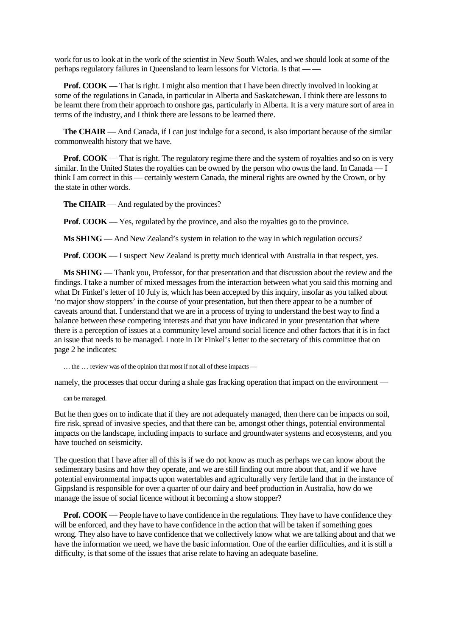work for us to look at in the work of the scientist in New South Wales, and we should look at some of the perhaps regulatory failures in Queensland to learn lessons for Victoria. Is that — —

**Prof. COOK** — That is right. I might also mention that I have been directly involved in looking at some of the regulations in Canada, in particular in Alberta and Saskatchewan. I think there are lessons to be learnt there from their approach to onshore gas, particularly in Alberta. It is a very mature sort of area in terms of the industry, and I think there are lessons to be learned there.

**The CHAIR** — And Canada, if I can just indulge for a second, is also important because of the similar commonwealth history that we have.

**Prof. COOK** — That is right. The regulatory regime there and the system of royalties and so on is very similar. In the United States the royalties can be owned by the person who owns the land. In Canada — I think I am correct in this — certainly western Canada, the mineral rights are owned by the Crown, or by the state in other words.

**The CHAIR** — And regulated by the provinces?

**Prof. COOK** — Yes, regulated by the province, and also the royalties go to the province.

**Ms SHING** — And New Zealand's system in relation to the way in which regulation occurs?

**Prof. COOK** — I suspect New Zealand is pretty much identical with Australia in that respect, yes.

**Ms SHING** — Thank you, Professor, for that presentation and that discussion about the review and the findings. I take a number of mixed messages from the interaction between what you said this morning and what Dr Finkel's letter of 10 July is, which has been accepted by this inquiry, insofar as you talked about 'no major show stoppers' in the course of your presentation, but then there appear to be a number of caveats around that. I understand that we are in a process of trying to understand the best way to find a balance between these competing interests and that you have indicated in your presentation that where there is a perception of issues at a community level around social licence and other factors that it is in fact an issue that needs to be managed. I note in Dr Finkel's letter to the secretary of this committee that on page 2 he indicates:

… the … review was of the opinion that most if not all of these impacts —

namely, the processes that occur during a shale gas fracking operation that impact on the environment —

can be managed.

But he then goes on to indicate that if they are not adequately managed, then there can be impacts on soil, fire risk, spread of invasive species, and that there can be, amongst other things, potential environmental impacts on the landscape, including impacts to surface and groundwater systems and ecosystems, and you have touched on seismicity.

The question that I have after all of this is if we do not know as much as perhaps we can know about the sedimentary basins and how they operate, and we are still finding out more about that, and if we have potential environmental impacts upon watertables and agriculturally very fertile land that in the instance of Gippsland is responsible for over a quarter of our dairy and beef production in Australia, how do we manage the issue of social licence without it becoming a show stopper?

**Prof. COOK** — People have to have confidence in the regulations. They have to have confidence they will be enforced, and they have to have confidence in the action that will be taken if something goes wrong. They also have to have confidence that we collectively know what we are talking about and that we have the information we need, we have the basic information. One of the earlier difficulties, and it is still a difficulty, is that some of the issues that arise relate to having an adequate baseline.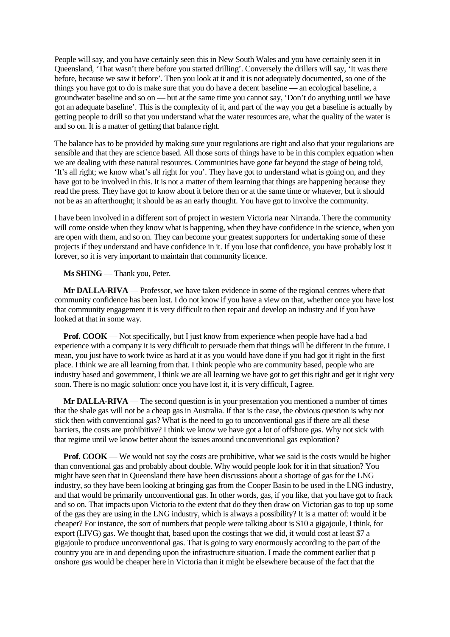People will say, and you have certainly seen this in New South Wales and you have certainly seen it in Queensland, 'That wasn't there before you started drilling'. Conversely the drillers will say, 'It was there before, because we saw it before'. Then you look at it and it is not adequately documented, so one of the things you have got to do is make sure that you do have a decent baseline — an ecological baseline, a groundwater baseline and so on — but at the same time you cannot say, 'Don't do anything until we have got an adequate baseline'. This is the complexity of it, and part of the way you get a baseline is actually by getting people to drill so that you understand what the water resources are, what the quality of the water is and so on. It is a matter of getting that balance right.

The balance has to be provided by making sure your regulations are right and also that your regulations are sensible and that they are science based. All those sorts of things have to be in this complex equation when we are dealing with these natural resources. Communities have gone far beyond the stage of being told, 'It's all right; we know what's all right for you'. They have got to understand what is going on, and they have got to be involved in this. It is not a matter of them learning that things are happening because they read the press. They have got to know about it before then or at the same time or whatever, but it should not be as an afterthought; it should be as an early thought. You have got to involve the community.

I have been involved in a different sort of project in western Victoria near Nirranda. There the community will come onside when they know what is happening, when they have confidence in the science, when you are open with them, and so on. They can become your greatest supporters for undertaking some of these projects if they understand and have confidence in it. If you lose that confidence, you have probably lost it forever, so it is very important to maintain that community licence.

**Ms SHING** — Thank you, Peter.

**Mr DALLA-RIVA** — Professor, we have taken evidence in some of the regional centres where that community confidence has been lost. I do not know if you have a view on that, whether once you have lost that community engagement it is very difficult to then repair and develop an industry and if you have looked at that in some way.

**Prof. COOK** — Not specifically, but I just know from experience when people have had a bad experience with a company it is very difficult to persuade them that things will be different in the future. I mean, you just have to work twice as hard at it as you would have done if you had got it right in the first place. I think we are all learning from that. I think people who are community based, people who are industry based and government, I think we are all learning we have got to get this right and get it right very soon. There is no magic solution: once you have lost it, it is very difficult, I agree.

**Mr DALLA-RIVA** — The second question is in your presentation you mentioned a number of times that the shale gas will not be a cheap gas in Australia. If that is the case, the obvious question is why not stick then with conventional gas? What is the need to go to unconventional gas if there are all these barriers, the costs are prohibitive? I think we know we have got a lot of offshore gas. Why not sick with that regime until we know better about the issues around unconventional gas exploration?

**Prof. COOK** — We would not say the costs are prohibitive, what we said is the costs would be higher than conventional gas and probably about double. Why would people look for it in that situation? You might have seen that in Queensland there have been discussions about a shortage of gas for the LNG industry, so they have been looking at bringing gas from the Cooper Basin to be used in the LNG industry, and that would be primarily unconventional gas. In other words, gas, if you like, that you have got to frack and so on. That impacts upon Victoria to the extent that do they then draw on Victorian gas to top up some of the gas they are using in the LNG industry, which is always a possibility? It is a matter of: would it be cheaper? For instance, the sort of numbers that people were talking about is \$10 a gigajoule, I think, for export (LIVG) gas. We thought that, based upon the costings that we did, it would cost at least \$7 a gigajoule to produce unconventional gas. That is going to vary enormously according to the part of the country you are in and depending upon the infrastructure situation. I made the comment earlier that p onshore gas would be cheaper here in Victoria than it might be elsewhere because of the fact that the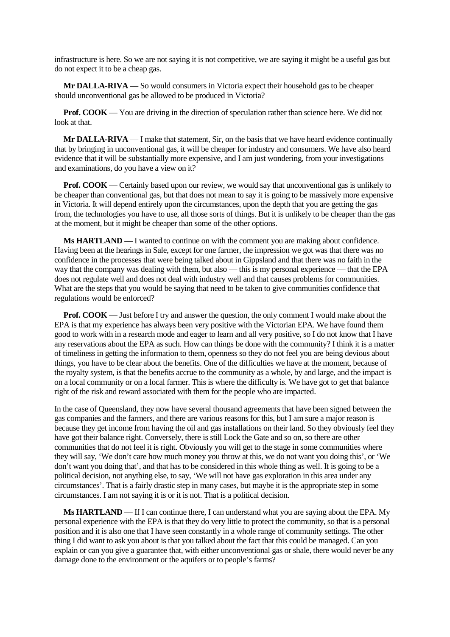infrastructure is here. So we are not saying it is not competitive, we are saying it might be a useful gas but do not expect it to be a cheap gas.

**Mr DALLA-RIVA** — So would consumers in Victoria expect their household gas to be cheaper should unconventional gas be allowed to be produced in Victoria?

**Prof. COOK** — You are driving in the direction of speculation rather than science here. We did not look at that.

**Mr DALLA-RIVA** — I make that statement, Sir, on the basis that we have heard evidence continually that by bringing in unconventional gas, it will be cheaper for industry and consumers. We have also heard evidence that it will be substantially more expensive, and I am just wondering, from your investigations and examinations, do you have a view on it?

**Prof. COOK** — Certainly based upon our review, we would say that unconventional gas is unlikely to be cheaper than conventional gas, but that does not mean to say it is going to be massively more expensive in Victoria. It will depend entirely upon the circumstances, upon the depth that you are getting the gas from, the technologies you have to use, all those sorts of things. But it is unlikely to be cheaper than the gas at the moment, but it might be cheaper than some of the other options.

**Ms HARTLAND** — I wanted to continue on with the comment you are making about confidence. Having been at the hearings in Sale, except for one farmer, the impression we got was that there was no confidence in the processes that were being talked about in Gippsland and that there was no faith in the way that the company was dealing with them, but also — this is my personal experience — that the EPA does not regulate well and does not deal with industry well and that causes problems for communities. What are the steps that you would be saying that need to be taken to give communities confidence that regulations would be enforced?

**Prof. COOK** — Just before I try and answer the question, the only comment I would make about the EPA is that my experience has always been very positive with the Victorian EPA. We have found them good to work with in a research mode and eager to learn and all very positive, so I do not know that I have any reservations about the EPA as such. How can things be done with the community? I think it is a matter of timeliness in getting the information to them, openness so they do not feel you are being devious about things, you have to be clear about the benefits. One of the difficulties we have at the moment, because of the royalty system, is that the benefits accrue to the community as a whole, by and large, and the impact is on a local community or on a local farmer. This is where the difficulty is. We have got to get that balance right of the risk and reward associated with them for the people who are impacted.

In the case of Queensland, they now have several thousand agreements that have been signed between the gas companies and the farmers, and there are various reasons for this, but I am sure a major reason is because they get income from having the oil and gas installations on their land. So they obviously feel they have got their balance right. Conversely, there is still Lock the Gate and so on, so there are other communities that do not feel it is right. Obviously you will get to the stage in some communities where they will say, 'We don't care how much money you throw at this, we do not want you doing this', or 'We don't want you doing that', and that has to be considered in this whole thing as well. It is going to be a political decision, not anything else, to say, 'We will not have gas exploration in this area under any circumstances'. That is a fairly drastic step in many cases, but maybe it is the appropriate step in some circumstances. I am not saying it is or it is not. That is a political decision.

**Ms HARTLAND** — If I can continue there, I can understand what you are saying about the EPA. My personal experience with the EPA is that they do very little to protect the community, so that is a personal position and it is also one that I have seen constantly in a whole range of community settings. The other thing I did want to ask you about is that you talked about the fact that this could be managed. Can you explain or can you give a guarantee that, with either unconventional gas or shale, there would never be any damage done to the environment or the aquifers or to people's farms?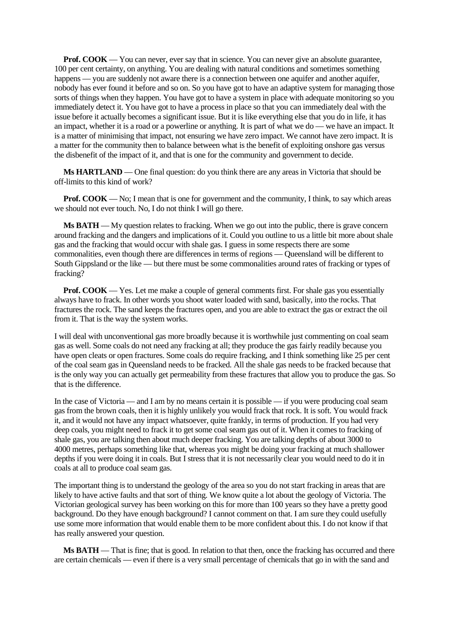**Prof. COOK** — You can never, ever say that in science. You can never give an absolute guarantee, 100 per cent certainty, on anything. You are dealing with natural conditions and sometimes something happens — you are suddenly not aware there is a connection between one aquifer and another aquifer, nobody has ever found it before and so on. So you have got to have an adaptive system for managing those sorts of things when they happen. You have got to have a system in place with adequate monitoring so you immediately detect it. You have got to have a process in place so that you can immediately deal with the issue before it actually becomes a significant issue. But it is like everything else that you do in life, it has an impact, whether it is a road or a powerline or anything. It is part of what we do — we have an impact. It is a matter of minimising that impact, not ensuring we have zero impact. We cannot have zero impact. It is a matter for the community then to balance between what is the benefit of exploiting onshore gas versus the disbenefit of the impact of it, and that is one for the community and government to decide.

**Ms HARTLAND** — One final question: do you think there are any areas in Victoria that should be off-limits to this kind of work?

**Prof. COOK** — No; I mean that is one for government and the community, I think, to say which areas we should not ever touch. No, I do not think I will go there.

**Ms BATH** — My question relates to fracking. When we go out into the public, there is grave concern around fracking and the dangers and implications of it. Could you outline to us a little bit more about shale gas and the fracking that would occur with shale gas. I guess in some respects there are some commonalities, even though there are differences in terms of regions — Queensland will be different to South Gippsland or the like — but there must be some commonalities around rates of fracking or types of fracking?

**Prof. COOK** — Yes. Let me make a couple of general comments first. For shale gas you essentially always have to frack. In other words you shoot water loaded with sand, basically, into the rocks. That fractures the rock. The sand keeps the fractures open, and you are able to extract the gas or extract the oil from it. That is the way the system works.

I will deal with unconventional gas more broadly because it is worthwhile just commenting on coal seam gas as well. Some coals do not need any fracking at all; they produce the gas fairly readily because you have open cleats or open fractures. Some coals do require fracking, and I think something like 25 per cent of the coal seam gas in Queensland needs to be fracked. All the shale gas needs to be fracked because that is the only way you can actually get permeability from these fractures that allow you to produce the gas. So that is the difference.

In the case of Victoria — and I am by no means certain it is possible — if you were producing coal seam gas from the brown coals, then it is highly unlikely you would frack that rock. It is soft. You would frack it, and it would not have any impact whatsoever, quite frankly, in terms of production. If you had very deep coals, you might need to frack it to get some coal seam gas out of it. When it comes to fracking of shale gas, you are talking then about much deeper fracking. You are talking depths of about 3000 to 4000 metres, perhaps something like that, whereas you might be doing your fracking at much shallower depths if you were doing it in coals. But I stress that it is not necessarily clear you would need to do it in coals at all to produce coal seam gas.

The important thing is to understand the geology of the area so you do not start fracking in areas that are likely to have active faults and that sort of thing. We know quite a lot about the geology of Victoria. The Victorian geological survey has been working on this for more than 100 years so they have a pretty good background. Do they have enough background? I cannot comment on that. I am sure they could usefully use some more information that would enable them to be more confident about this. I do not know if that has really answered your question.

**Ms BATH** — That is fine; that is good. In relation to that then, once the fracking has occurred and there are certain chemicals — even if there is a very small percentage of chemicals that go in with the sand and